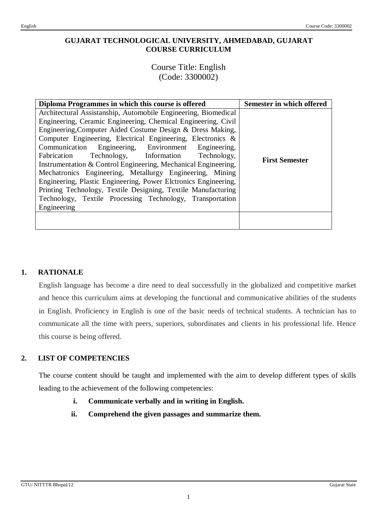# **GUJARAT TECHNOLOGICAL UNIVERSITY, AHMEDABAD, GUJARAT COURSE CURRICULUM**

Course Title: English (Code: 3300002)

| Diploma Programmes in which this course is offered                                                                                                                                                                                                                                                                                                                                                                                                                                                                                                                                                                                                                                                                   | Semester in which offered |
|----------------------------------------------------------------------------------------------------------------------------------------------------------------------------------------------------------------------------------------------------------------------------------------------------------------------------------------------------------------------------------------------------------------------------------------------------------------------------------------------------------------------------------------------------------------------------------------------------------------------------------------------------------------------------------------------------------------------|---------------------------|
| Architectural Assistanship, Automobile Engineering, Biomedical<br>Engineering, Ceramic Engineering, Chemical Engineering, Civil<br>Engineering, Computer Aided Costume Design & Dress Making,<br>Computer Engineering, Electrical Engineering, Electronics &<br>Communication Engineering, Environment Engineering,<br>Fabrication Technology, Information Technology,<br>Instrumentation & Control Engineering, Mechanical Engineering,<br>Mechatronics Engineering, Metallurgy Engineering, Mining<br>Engineering, Plastic Engineering, Power Elctronics Engineering,<br>Printing Technology, Textile Designing, Textile Manufacturing<br>Technology, Textile Processing Technology, Transportation<br>Engineering | <b>First Semester</b>     |
|                                                                                                                                                                                                                                                                                                                                                                                                                                                                                                                                                                                                                                                                                                                      |                           |

# **1. RATIONALE**

English language has become a dire need to deal successfully in the globalized and competitive market and hence this curriculum aims at developing the functional and communicative abilities of the students in English. Proficiency in English is one of the basic needs of technical students. A technician has to communicate all the time with peers, superiors, subordinates and clients in his professional life. Hence this course is being offered.

# **2. LIST OF COMPETENCIES**

The course content should be taught and implemented with the aim to develop different types of skills leading to the achievement of the following competencies:

- **i. Communicate verbally and in writing in English.**
- **ii. Comprehend the given passages and summarize them.**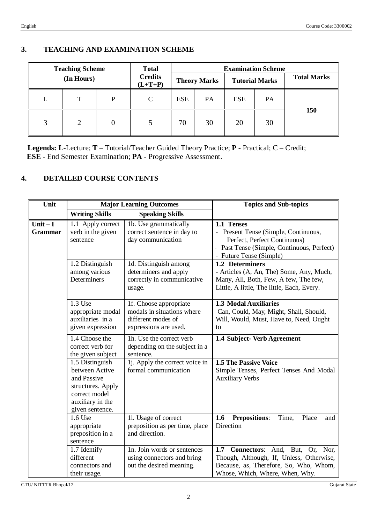## **3. TEACHING AND EXAMINATION SCHEME**

| <b>Teaching Scheme</b><br>(In Hours) |                | <b>Total</b>                |               |                     |    | <b>Examination Scheme</b> |                    |     |
|--------------------------------------|----------------|-----------------------------|---------------|---------------------|----|---------------------------|--------------------|-----|
|                                      |                | <b>Credits</b><br>$(L+T+P)$ |               | <b>Theory Marks</b> |    | <b>Tutorial Marks</b>     | <b>Total Marks</b> |     |
| L                                    | T              | P                           | $\mathcal{C}$ | <b>ESE</b>          | PA | <b>ESE</b>                | <b>PA</b>          |     |
| 3                                    | $\overline{2}$ | $\boldsymbol{0}$            | 5             | 70                  | 30 | 20                        | 30                 | 150 |

 **Legends: L**-Lecture; **T** – Tutorial/Teacher Guided Theory Practice; **P** - Practical; C – Credit; **ESE** - End Semester Examination; **PA** - Progressive Assessment.

# **4. DETAILED COURSE CONTENTS**

| Unit                         | <b>Major Learning Outcomes</b>                                                                                                |                                                                                                     | <b>Topics and Sub-topics</b>                                                                                                                                   |
|------------------------------|-------------------------------------------------------------------------------------------------------------------------------|-----------------------------------------------------------------------------------------------------|----------------------------------------------------------------------------------------------------------------------------------------------------------------|
|                              | <b>Writing Skills</b>                                                                                                         | <b>Speaking Skills</b>                                                                              |                                                                                                                                                                |
| $Unit - I$<br><b>Grammar</b> | 1.1 Apply correct<br>verb in the given<br>sentence                                                                            | 1b. Use grammatically<br>correct sentence in day to<br>day communication                            | 1.1 Tenses<br>- Present Tense (Simple, Continuous,<br>Perfect, Perfect Continuous)<br>- Past Tense (Simple, Continuous, Perfect)<br>- Future Tense (Simple)    |
|                              | 1.2 Distinguish<br>among various<br>Determiners                                                                               | 1d. Distinguish among<br>determiners and apply<br>correctly in communicative<br>usage.              | 1.2 Determiners<br>- Articles (A, An, The) Some, Any, Much,<br>Many, All, Both, Few, A few, The few,<br>Little, A little, The little, Each, Every.             |
|                              | 1.3 Use<br>appropriate modal<br>auxiliaries in a<br>given expression                                                          | 1f. Choose appropriate<br>modals in situations where<br>different modes of<br>expressions are used. | 1.3 Modal Auxiliaries<br>Can, Could, May, Might, Shall, Should,<br>Will, Would, Must, Have to, Need, Ought<br>to                                               |
|                              | 1.4 Choose the<br>correct verb for<br>the given subject                                                                       | 1h. Use the correct verb<br>depending on the subject in a<br>sentence.                              | 1.4 Subject- Verb Agreement                                                                                                                                    |
|                              | 1.5 Distinguish<br>between Active<br>and Passive<br>structures. Apply<br>correct model<br>auxiliary in the<br>given sentence. | 1j. Apply the correct voice in<br>formal communication                                              | <b>1.5 The Passive Voice</b><br>Simple Tenses, Perfect Tenses And Modal<br><b>Auxiliary Verbs</b>                                                              |
|                              | 1.6 Use<br>appropriate<br>preposition in a<br>sentence                                                                        | 11. Usage of correct<br>preposition as per time, place<br>and direction.                            | 1.6<br><b>Prepositions:</b><br>Time,<br>Place<br>and<br>Direction                                                                                              |
|                              | 1.7 Identify<br>different<br>connectors and<br>their usage.                                                                   | 1n. Join words or sentences<br>using connectors and bring<br>out the desired meaning.               | Connectors: And, But, Or, Nor,<br>1.7<br>Though, Although, If, Unless, Otherwise,<br>Because, as, Therefore, So, Who, Whom,<br>Whose, Which, Where, When, Why. |

GTU/ NITTTR Bhopal/12 Gujarat State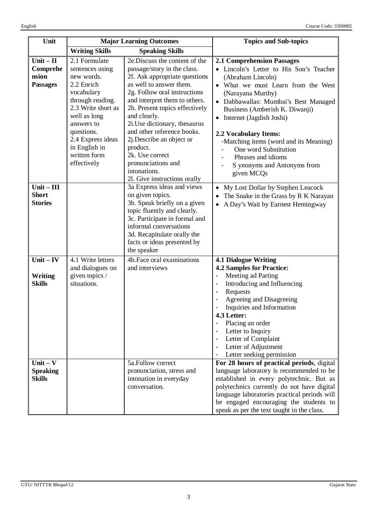| Unit                                                | <b>Major Learning Outcomes</b>                                                                                                                                                                                                        |                                                                                                                                                                                                                                                                                                                                                                                                                                             | <b>Topics and Sub-topics</b>                                                                                                                                                                                                                                                                                                                                                                                                                                                                |  |
|-----------------------------------------------------|---------------------------------------------------------------------------------------------------------------------------------------------------------------------------------------------------------------------------------------|---------------------------------------------------------------------------------------------------------------------------------------------------------------------------------------------------------------------------------------------------------------------------------------------------------------------------------------------------------------------------------------------------------------------------------------------|---------------------------------------------------------------------------------------------------------------------------------------------------------------------------------------------------------------------------------------------------------------------------------------------------------------------------------------------------------------------------------------------------------------------------------------------------------------------------------------------|--|
|                                                     | <b>Writing Skills</b><br><b>Speaking Skills</b>                                                                                                                                                                                       |                                                                                                                                                                                                                                                                                                                                                                                                                                             |                                                                                                                                                                                                                                                                                                                                                                                                                                                                                             |  |
| $Unit - II$<br>Comprehe<br>nsion<br><b>Passages</b> | 2.1 Formulate<br>sentences using<br>new words.<br>2.2 Enrich<br>vocabulary<br>through reading.<br>2.3 Write short as<br>well as long<br>answers to<br>questions.<br>2.4 Express ideas<br>in English in<br>written form<br>effectively | 2e.Discuss the content of the<br>passage/story in the class.<br>2f. Ask appropriate questions<br>as well to answer them.<br>2g. Follow oral instructions<br>and interpret them to others.<br>2h. Present topics effectively<br>and clearly.<br>2i. Use dictionary, thesaurus<br>and other reference books.<br>2j.Describe an object or<br>product.<br>2k. Use correct<br>pronunciations and<br>intonations.<br>21. Give instructions orally | <b>2.1 Comprehension Passages</b><br>• Lincoln's Letter to His Son's Teacher<br>(Abraham Lincoln)<br>• What we must Learn from the West<br>(Narayana Murthy)<br>Dabbawallas: Mumbai's Best Managed<br>Business (Amberish K. Diwanji)<br>Internet (Jagdish Joshi)<br>$\bullet$<br><b>2.2 Vocabulary Items:</b><br>-Matching items (word and its Meaning)<br>One word Substitution<br>Phrases and idioms<br>S ynonyms and Antonyms from<br>given MCQs                                         |  |
| $Unit - III$<br><b>Short</b><br><b>Stories</b>      |                                                                                                                                                                                                                                       | 3a Express ideas and views<br>on given topics.<br>3b. Speak briefly on a given<br>topic fluently and clearly.<br>3c. Participate in formal and<br>informal conversations<br>3d. Recapitulate orally the<br>facts or ideas presented by<br>the speaker                                                                                                                                                                                       | My Lost Dollar by Stephen Leacock<br>The Snake in the Grass by R K Narayan<br>A Day's Wait by Earnest Hemingway                                                                                                                                                                                                                                                                                                                                                                             |  |
| $Unit - IV$<br>Writing<br><b>Skills</b>             | 4.1 Write letters<br>and dialogues on<br>given topics /<br>situations.                                                                                                                                                                | 4b. Face oral examinations<br>and interviews                                                                                                                                                                                                                                                                                                                                                                                                | <b>4.1 Dialogue Writing</b><br><b>4.2 Samples for Practice:</b><br>Meeting ad Parting<br>$\blacksquare$<br>Introducing and Influencing<br>$\overline{\phantom{a}}$<br>Requests<br>$\overline{\phantom{a}}$<br>Agreeing and Disagreeing<br>Inquiries and Information<br>4.3 Letter:<br>Placing an order<br>$\overline{\phantom{a}}$<br>Letter to Inquiry<br>$\overline{\phantom{a}}$<br>Letter of Complaint<br>$\overline{\phantom{a}}$<br>Letter of Adjustment<br>Letter seeking permission |  |
| $Unit - V$<br><b>Speaking</b><br><b>Skills</b>      |                                                                                                                                                                                                                                       | 5a.Follow correct<br>pronunciation, stress and<br>intonation in everyday<br>conversation.                                                                                                                                                                                                                                                                                                                                                   | For 28 hours of practical periods, digital<br>language laboratory is recommended to be<br>established in every polytechnic. But as<br>polytechnics currently do not have digital<br>language laboratories practical periods will<br>be engaged encouraging the students to<br>speak as per the text taught in the class.                                                                                                                                                                    |  |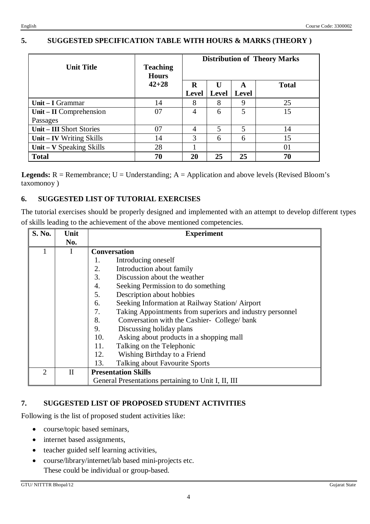# **5. SUGGESTED SPECIFICATION TABLE WITH HOURS & MARKS (THEORY )**

| <b>Unit Title</b>               | <b>Teaching</b><br><b>Hours</b> | <b>Distribution of Theory Marks</b> |                |                   |              |
|---------------------------------|---------------------------------|-------------------------------------|----------------|-------------------|--------------|
|                                 | $42 + 28$                       | R<br><b>Level</b>                   | Level          | A<br><b>Level</b> | <b>Total</b> |
| Unit $-$ I Grammar              | 14                              | 8                                   | 8              | 9                 | 25           |
| Unit – II Comprehension         | 07                              | 4                                   | 6              | 5                 | 15           |
| Passages                        |                                 |                                     |                |                   |              |
| <b>Unit – III Short Stories</b> | 07                              | $\overline{4}$                      | $\overline{5}$ | 5                 | 14           |
| Unit - IV Writing Skills        | 14                              | 3                                   | 6              | 6                 | 15           |
| Unit – $V$ Speaking Skills      | 28                              |                                     |                |                   | 01           |
| <b>Total</b>                    | 70                              | 20                                  | 25             | 25                | 70           |

**Legends:**  $R =$  Remembrance;  $U =$  Understanding;  $A =$  Application and above levels (Revised Bloom's taxomonoy )

## **6. SUGGESTED LIST OF TUTORIAL EXERCISES**

The tutorial exercises should be properly designed and implemented with an attempt to develop different types of skills leading to the achievement of the above mentioned competencies.

| S. No.         | Unit        | <b>Experiment</b>                                         |  |  |  |  |
|----------------|-------------|-----------------------------------------------------------|--|--|--|--|
|                | No.         |                                                           |  |  |  |  |
|                |             | <b>Conversation</b>                                       |  |  |  |  |
|                |             | Introducing oneself<br>1.                                 |  |  |  |  |
|                |             | Introduction about family<br>2.                           |  |  |  |  |
|                |             | 3.<br>Discussion about the weather                        |  |  |  |  |
|                |             | Seeking Permission to do something<br>4.                  |  |  |  |  |
|                |             | Description about hobbies<br>5.                           |  |  |  |  |
|                |             | Seeking Information at Railway Station/ Airport<br>6.     |  |  |  |  |
|                |             | Taking Appointments from superiors and industry personnel |  |  |  |  |
|                |             | 8.<br>Conversation with the Cashier- College/bank         |  |  |  |  |
|                |             | 9.<br>Discussing holiday plans                            |  |  |  |  |
|                |             | Asking about products in a shopping mall<br>10.           |  |  |  |  |
|                |             | Talking on the Telephonic<br>11.                          |  |  |  |  |
|                |             | 12.<br>Wishing Birthday to a Friend                       |  |  |  |  |
|                |             | Talking about Favourite Sports<br>13.                     |  |  |  |  |
| $\overline{2}$ | $_{\rm II}$ | <b>Presentation Skills</b>                                |  |  |  |  |
|                |             | General Presentations pertaining to Unit I, II, III       |  |  |  |  |

#### **7. SUGGESTED LIST OF PROPOSED STUDENT ACTIVITIES**

Following is the list of proposed student activities like:

- course/topic based seminars,
- internet based assignments,
- teacher guided self learning activities,
- course/library/internet/lab based mini-projects etc. These could be individual or group-based.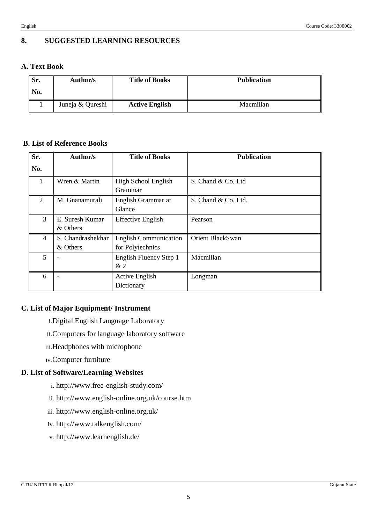## **8. SUGGESTED LEARNING RESOURCES**

### **A. Text Book**

| Sr.<br>No. | Author/s         | <b>Title of Books</b> | <b>Publication</b> |
|------------|------------------|-----------------------|--------------------|
|            | Juneja & Qureshi | <b>Active English</b> | Macmillan          |

#### **B. List of Reference Books**

| Sr.                         | Author/s                      | <b>Title of Books</b>                            | <b>Publication</b>  |
|-----------------------------|-------------------------------|--------------------------------------------------|---------------------|
| No.                         |                               |                                                  |                     |
|                             | Wren & Martin                 | High School English<br>Grammar                   | S. Chand & Co. Ltd  |
| $\mathcal{D}_{\mathcal{L}}$ | M. Gnanamurali                | English Grammar at<br>Glance                     | S. Chand & Co. Ltd. |
| 3                           | E. Suresh Kumar<br>& Others   | <b>Effective English</b>                         | Pearson             |
| $\overline{4}$              | S. Chandrashekhar<br>& Others | <b>English Communication</b><br>for Polytechnics | Orient BlackSwan    |
| 5                           |                               | English Fluency Step 1<br>&2                     | Macmillan           |
| 6                           |                               | <b>Active English</b><br>Dictionary              | Longman             |

#### **C. List of Major Equipment/ Instrument**

- i.Digital English Language Laboratory
- ii.Computers for language laboratory software
- iii.Headphones with microphone
- iv.Computer furniture

#### **D. List of Software/Learning Websites**

- i. http://www.free-english-study.com/
- ii. http://www.english-online.org.uk/course.htm
- iii. http://www.english-online.org.uk/
- iv. http://www.talkenglish.com/
- v. http://www.learnenglish.de/